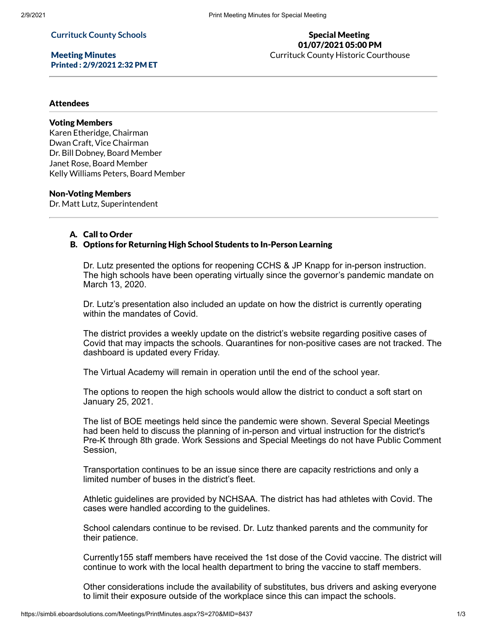### **Currituck County Schools**

Meeting Minutes Printed : 2/9/2021 2:32 PM ET

# Special Meeting 01/07/2021 05:00 PM

Currituck County Historic Courthouse

#### **Attendees**

### Voting Members

Karen Etheridge, Chairman Dwan Craft, Vice Chairman Dr. Bill Dobney, Board Member Janet Rose, Board Member Kelly Williams Peters, Board Member

#### Non-Voting Members

Dr. Matt Lutz, Superintendent

## A. Call to Order

## B. Options for Returning High School Students to In-Person Learning

Dr. Lutz presented the options for reopening CCHS & JP Knapp for in-person instruction. The high schools have been operating virtually since the governor's pandemic mandate on March 13, 2020.

Dr. Lutz's presentation also included an update on how the district is currently operating within the mandates of Covid.

The district provides a weekly update on the district's website regarding positive cases of Covid that may impacts the schools. Quarantines for non-positive cases are not tracked. The dashboard is updated every Friday.

The Virtual Academy will remain in operation until the end of the school year.

The options to reopen the high schools would allow the district to conduct a soft start on January 25, 2021.

The list of BOE meetings held since the pandemic were shown. Several Special Meetings had been held to discuss the planning of in-person and virtual instruction for the district's Pre-K through 8th grade. Work Sessions and Special Meetings do not have Public Comment Session,

Transportation continues to be an issue since there are capacity restrictions and only a limited number of buses in the district's fleet.

Athletic guidelines are provided by NCHSAA. The district has had athletes with Covid. The cases were handled according to the guidelines.

School calendars continue to be revised. Dr. Lutz thanked parents and the community for their patience.

Currently155 staff members have received the 1st dose of the Covid vaccine. The district will continue to work with the local health department to bring the vaccine to staff members.

Other considerations include the availability of substitutes, bus drivers and asking everyone to limit their exposure outside of the workplace since this can impact the schools.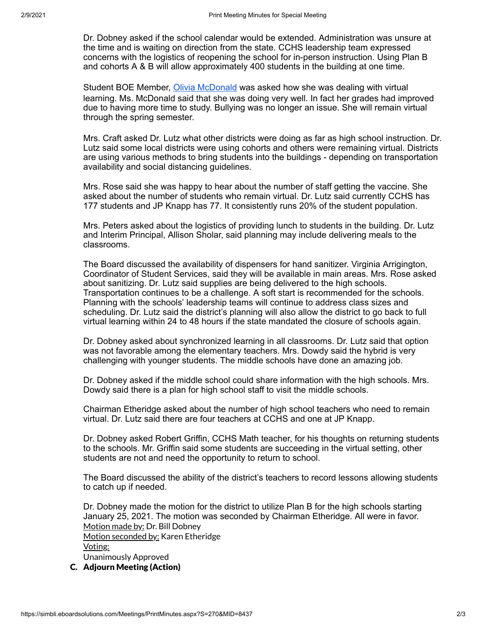Dr. Dobney asked if the school calendar would be extended. Administration was unsure at the time and is waiting on direction from the state. CCHS leadership team expressed concerns with the logistics of reopening the school for in-person instruction. Using Plan B and cohorts A & B will allow approximately 400 students in the building at one time.

Student BOE Member, Olivia [McDonald](mailto:3914842466@currituck.k12.nc.us) was asked how she was dealing with virtual learning. Ms. McDonald said that she was doing very well. In fact her grades had improved due to having more time to study. Bullying was no longer an issue. She will remain virtual through the spring semester.

Mrs. Craft asked Dr. Lutz what other districts were doing as far as high school instruction. Dr. Lutz said some local districts were using cohorts and others were remaining virtual. Districts are using various methods to bring students into the buildings - depending on transportation availability and social distancing guidelines.

Mrs. Rose said she was happy to hear about the number of staff getting the vaccine. She asked about the number of students who remain virtual. Dr. Lutz said currently CCHS has 177 students and JP Knapp has 77. It consistently runs 20% of the student population.

Mrs. Peters asked about the logistics of providing lunch to students in the building. Dr. Lutz and Interim Principal, Allison Sholar, said planning may include delivering meals to the classrooms.

The Board discussed the availability of dispensers for hand sanitizer. Virginia Arrigington, Coordinator of Student Services, said they will be available in main areas. Mrs. Rose asked about sanitizing. Dr. Lutz said supplies are being delivered to the high schools. Transportation continues to be a challenge. A soft start is recommended for the schools. Planning with the schools' leadership teams will continue to address class sizes and scheduling. Dr. Lutz said the district's planning will also allow the district to go back to full virtual learning within 24 to 48 hours if the state mandated the closure of schools again.

Dr. Dobney asked about synchronized learning in all classrooms. Dr. Lutz said that option was not favorable among the elementary teachers. Mrs. Dowdy said the hybrid is very challenging with younger students. The middle schools have done an amazing job.

Dr. Dobney asked if the middle school could share information with the high schools. Mrs. Dowdy said there is a plan for high school staff to visit the middle schools.

Chairman Etheridge asked about the number of high school teachers who need to remain virtual. Dr. Lutz said there are four teachers at CCHS and one at JP Knapp.

Dr. Dobney asked Robert Griffin, CCHS Math teacher, for his thoughts on returning students to the schools. Mr. Griffin said some students are succeeding in the virtual setting, other students are not and need the opportunity to return to school.

The Board discussed the ability of the district's teachers to record lessons allowing students to catch up if needed.

Dr. Dobney made the motion for the district to utilize Plan B for the high schools starting January 25, 2021. The motion was seconded by Chairman Etheridge. All were in favor. Motion made by: Dr. Bill Dobney Motion seconded by: Karen Etheridge Voting: Unanimously Approved

C. Adjourn Meeting (Action)